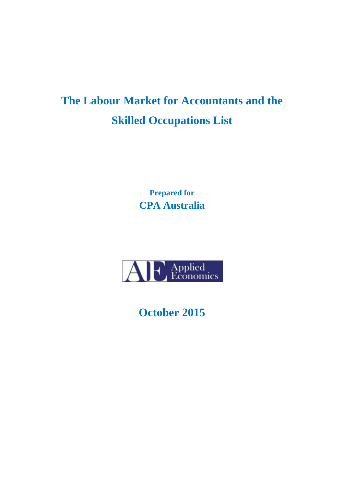# **The Labour Market for Accountants and the Skilled Occupations List**

**Prepared for CPA Australia** 



**October 2015**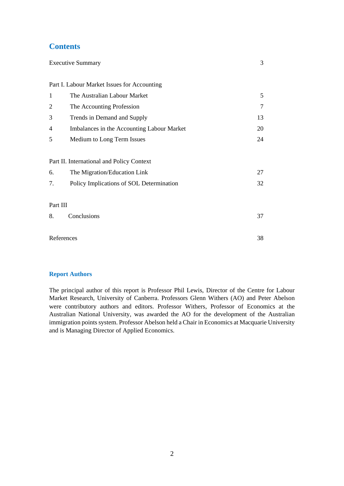## **Contents**

| <b>Executive Summary</b>                  |                                             | 3  |  |  |  |
|-------------------------------------------|---------------------------------------------|----|--|--|--|
|                                           |                                             |    |  |  |  |
|                                           | Part I. Labour Market Issues for Accounting |    |  |  |  |
| $\mathbf{1}$                              | The Australian Labour Market                | 5  |  |  |  |
| 2                                         | The Accounting Profession                   | 7  |  |  |  |
| 3                                         | Trends in Demand and Supply                 | 13 |  |  |  |
| 4                                         | Imbalances in the Accounting Labour Market  | 20 |  |  |  |
| 5                                         | Medium to Long Term Issues                  | 24 |  |  |  |
|                                           |                                             |    |  |  |  |
| Part II. International and Policy Context |                                             |    |  |  |  |
| 6.                                        | The Migration/Education Link                | 27 |  |  |  |
| 7.                                        | Policy Implications of SOL Determination    | 32 |  |  |  |
|                                           |                                             |    |  |  |  |
| Part III                                  |                                             |    |  |  |  |
| 8.                                        | Conclusions                                 | 37 |  |  |  |
|                                           |                                             |    |  |  |  |
| References                                |                                             |    |  |  |  |
|                                           |                                             |    |  |  |  |

#### **Report Authors**

The principal author of this report is Professor Phil Lewis, Director of the Centre for Labour Market Research, University of Canberra. Professors Glenn Withers (AO) and Peter Abelson were contributory authors and editors. Professor Withers, Professor of Economics at the Australian National University, was awarded the AO for the development of the Australian immigration points system. Professor Abelson held a Chair in Economics at Macquarie University and is Managing Director of Applied Economics.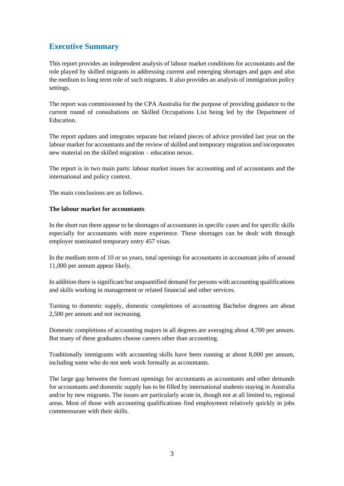# **Executive Summary**

This report provides an independent analysis of labour market conditions for accountants and the role played by skilled migrants in addressing current and emerging shortages and gaps and also the medium to long term role of such migrants. It also provides an analysis of immigration policy settings.

The report was commissioned by the CPA Australia for the purpose of providing guidance to the current round of consultations on Skilled Occupations List being led by the Department of Education.

The report updates and integrates separate but related pieces of advice provided last year on the labour market for accountants and the review of skilled and temporary migration and incorporates new material on the skilled migration – education nexus.

The report is in two main parts: labour market issues for accounting and of accountants and the international and policy context.

The main conclusions are as follows.

#### **The labour market for accountants**

In the short run there appear to be shortages of accountants in specific cases and for specific skills especially for accountants with more experience. These shortages can be dealt with through employer nominated temporary entry 457 visas.

In the medium term of 10 or so years, total openings for accountants in accountant jobs of around 11,000 per annum appear likely.

In addition there is significant but unquantified demand for persons with accounting qualifications and skills working in management or related financial and other services.

Turning to domestic supply, domestic completions of accounting Bachelor degrees are about 2,500 per annum and not increasing.

Domestic completions of accounting majors in all degrees are averaging about 4,700 per annum. But many of these graduates choose careers other than accounting.

Traditionally immigrants with accounting skills have been running at about 8,000 per annum, including some who do not seek work formally as accountants.

The large gap between the forecast openings for accountants as accountants and other demands for accountants and domestic supply has to be filled by international students staying in Australia and/or by new migrants. The issues are particularly acute in, though not at all limited to, regional areas. Most of those with accounting qualifications find employment relatively quickly in jobs commensurate with their skills.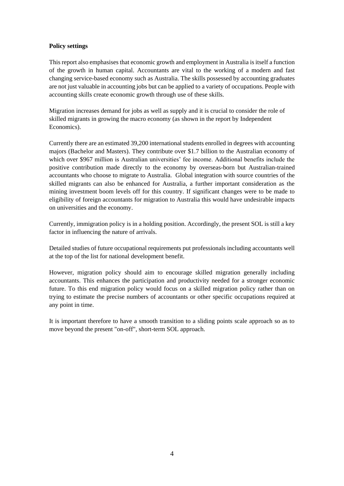#### **Policy settings**

This report also emphasises that economic growth and employment in Australia is itself a function of the growth in human capital. Accountants are vital to the working of a modern and fast changing service-based economy such as Australia. The skills possessed by accounting graduates are not just valuable in accounting jobs but can be applied to a variety of occupations. People with accounting skills create economic growth through use of these skills.

Migration increases demand for jobs as well as supply and it is crucial to consider the role of skilled migrants in growing the macro economy (as shown in the report by Independent Economics).

Currently there are an estimated 39,200 international students enrolled in degrees with accounting majors (Bachelor and Masters). They contribute over \$1.7 billion to the Australian economy of which over \$967 million is Australian universities' fee income. Additional benefits include the positive contribution made directly to the economy by overseas-born but Australian-trained accountants who choose to migrate to Australia. Global integration with source countries of the skilled migrants can also be enhanced for Australia, a further important consideration as the mining investment boom levels off for this country. If significant changes were to be made to eligibility of foreign accountants for migration to Australia this would have undesirable impacts on universities and the economy.

Currently, immigration policy is in a holding position. Accordingly, the present SOL is still a key factor in influencing the nature of arrivals.

Detailed studies of future occupational requirements put professionals including accountants well at the top of the list for national development benefit.

However, migration policy should aim to encourage skilled migration generally including accountants. This enhances the participation and productivity needed for a stronger economic future. To this end migration policy would focus on a skilled migration policy rather than on trying to estimate the precise numbers of accountants or other specific occupations required at any point in time.

It is important therefore to have a smooth transition to a sliding points scale approach so as to move beyond the present "on-off", short-term SOL approach.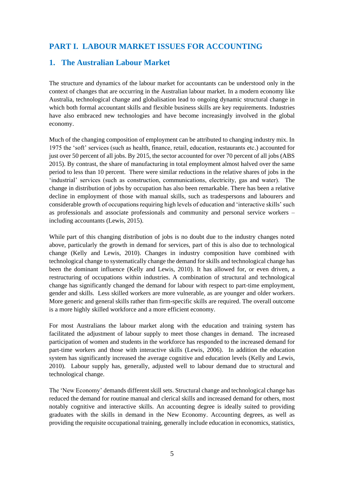## **PART I. LABOUR MARKET ISSUES FOR ACCOUNTING**

## **1. The Australian Labour Market**

The structure and dynamics of the labour market for accountants can be understood only in the context of changes that are occurring in the Australian labour market. In a modern economy like Australia, technological change and globalisation lead to ongoing dynamic structural change in which both formal accountant skills and flexible business skills are key requirements. Industries have also embraced new technologies and have become increasingly involved in the global economy.

Much of the changing composition of employment can be attributed to changing industry mix. In 1975 the 'soft' services (such as health, finance, retail, education, restaurants etc.) accounted for just over 50 percent of all jobs. By 2015, the sector accounted for over 70 percent of all jobs (ABS 2015). By contrast, the share of manufacturing in total employment almost halved over the same period to less than 10 percent. There were similar reductions in the relative shares of jobs in the 'industrial' services (such as construction, communications, electricity, gas and water). The change in distribution of jobs by occupation has also been remarkable. There has been a relative decline in employment of those with manual skills, such as tradespersons and labourers and considerable growth of occupations requiring high levels of education and 'interactive skills' such as professionals and associate professionals and community and personal service workers – including accountants (Lewis, 2015).

While part of this changing distribution of jobs is no doubt due to the industry changes noted above, particularly the growth in demand for services, part of this is also due to technological change (Kelly and Lewis, 2010). Changes in industry composition have combined with technological change to systematically change the demand for skills and technological change has been the dominant influence (Kelly and Lewis, 2010). It has allowed for, or even driven, a restructuring of occupations within industries. A combination of structural and technological change has significantly changed the demand for labour with respect to part-time employment, gender and skills. Less skilled workers are more vulnerable, as are younger and older workers. More generic and general skills rather than firm-specific skills are required. The overall outcome is a more highly skilled workforce and a more efficient economy.

For most Australians the labour market along with the education and training system has facilitated the adjustment of labour supply to meet those changes in demand. The increased participation of women and students in the workforce has responded to the increased demand for part-time workers and those with interactive skills (Lewis, 2006). In addition the education system has significantly increased the average cognitive and education levels (Kelly and Lewis, 2010). Labour supply has, generally, adjusted well to labour demand due to structural and technological change.

The 'New Economy' demands different skill sets. Structural change and technological change has reduced the demand for routine manual and clerical skills and increased demand for others, most notably cognitive and interactive skills. An accounting degree is ideally suited to providing graduates with the skills in demand in the New Economy. Accounting degrees, as well as providing the requisite occupational training, generally include education in economics, statistics,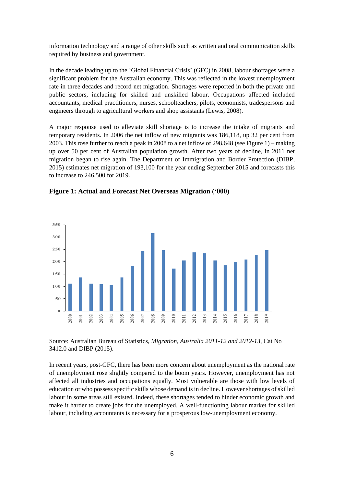information technology and a range of other skills such as written and oral communication skills required by business and government.

In the decade leading up to the 'Global Financial Crisis' (GFC) in 2008, labour shortages were a significant problem for the Australian economy. This was reflected in the lowest unemployment rate in three decades and record net migration. Shortages were reported in both the private and public sectors, including for skilled and unskilled labour. Occupations affected included accountants, medical practitioners, nurses, schoolteachers, pilots, economists, tradespersons and engineers through to agricultural workers and shop assistants (Lewis, 2008).

A major response used to alleviate skill shortage is to increase the intake of migrants and temporary residents. In 2006 the net inflow of new migrants was 186,118, up 32 per cent from 2003. This rose further to reach a peak in 2008 to a net inflow of 298,648 (see Figure 1) – making up over 50 per cent of Australian population growth. After two years of decline, in 2011 net migration began to rise again. The Department of Immigration and Border Protection (DIBP, 2015) estimates net migration of 193,100 for the year ending September 2015 and forecasts this to increase to 246,500 for 2019.





Source: Australian Bureau of Statistics, *Migration, Australia 2011-12 and 2012-13*, Cat No 3412.0 and DIBP (2015).

In recent years, post-GFC, there has been more concern about unemployment as the national rate of unemployment rose slightly compared to the boom years. However, unemployment has not affected all industries and occupations equally. Most vulnerable are those with low levels of education or who possess specific skills whose demand is in decline. However shortages of skilled labour in some areas still existed. Indeed, these shortages tended to hinder economic growth and make it harder to create jobs for the unemployed. A well-functioning labour market for skilled labour, including accountants is necessary for a prosperous low-unemployment economy.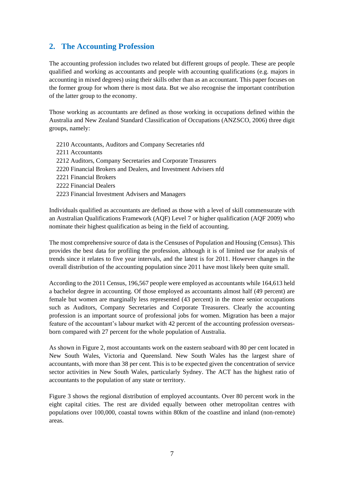## **2. The Accounting Profession**

The accounting profession includes two related but different groups of people. These are people qualified and working as accountants and people with accounting qualifications (e.g. majors in accounting in mixed degrees) using their skills other than as an accountant. This paper focuses on the former group for whom there is most data. But we also recognise the important contribution of the latter group to the economy.

Those working as accountants are defined as those working in occupations defined within the Australia and New Zealand Standard Classification of Occupations (ANZSCO, 2006) three digit groups, namely:

2210 Accountants, Auditors and Company Secretaries nfd 2211 Accountants 2212 Auditors, Company Secretaries and Corporate Treasurers 2220 Financial Brokers and Dealers, and Investment Advisers nfd 2221 Financial Brokers 2222 Financial Dealers 2223 Financial Investment Advisers and Managers

Individuals qualified as accountants are defined as those with a level of skill commensurate with an Australian Qualifications Framework (AQF) Level 7 or higher qualification (AQF 2009) who nominate their highest qualification as being in the field of accounting.

The most comprehensive source of data is the Censuses of Population and Housing (Census). This provides the best data for profiling the profession, although it is of limited use for analysis of trends since it relates to five year intervals, and the latest is for 2011. However changes in the overall distribution of the accounting population since 2011 have most likely been quite small.

According to the 2011 Census, 196,567 people were employed as accountants while 164,613 held a bachelor degree in accounting. Of those employed as accountants almost half (49 percent) are female but women are marginally less represented (43 percent) in the more senior occupations such as Auditors, Company Secretaries and Corporate Treasurers. Clearly the accounting profession is an important source of professional jobs for women. Migration has been a major feature of the accountant's labour market with 42 percent of the accounting profession overseasborn compared with 27 percent for the whole population of Australia.

As shown in Figure 2, most accountants work on the eastern seaboard with 80 per cent located in New South Wales, Victoria and Queensland. New South Wales has the largest share of accountants, with more than 38 per cent. This is to be expected given the concentration of service sector activities in New South Wales, particularly Sydney. The ACT has the highest ratio of accountants to the population of any state or territory.

Figure 3 shows the regional distribution of employed accountants. Over 80 percent work in the eight capital cities. The rest are divided equally between other metropolitan centres with populations over 100,000, coastal towns within 80km of the coastline and inland (non-remote) areas.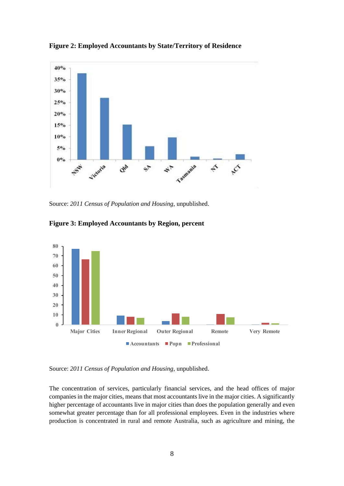

**Figure 2: Employed Accountants by State/Territory of Residence**

Source: *2011 Census of Population and Housing*, unpublished.



**Figure 3: Employed Accountants by Region, percent**

Source: *2011 Census of Population and Housing*, unpublished.

The concentration of services, particularly financial services, and the head offices of major companies in the major cities, means that most accountants live in the major cities. A significantly higher percentage of accountants live in major cities than does the population generally and even somewhat greater percentage than for all professional employees. Even in the industries where production is concentrated in rural and remote Australia, such as agriculture and mining, the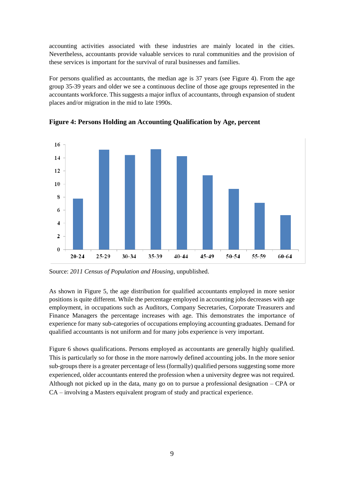accounting activities associated with these industries are mainly located in the cities. Nevertheless, accountants provide valuable services to rural communities and the provision of these services is important for the survival of rural businesses and families.

For persons qualified as accountants, the median age is 37 years (see Figure 4). From the age group 35-39 years and older we see a continuous decline of those age groups represented in the accountants workforce. This suggests a major influx of accountants, through expansion of student places and/or migration in the mid to late 1990s.



**Figure 4: Persons Holding an Accounting Qualification by Age, percent**

Source: *2011 Census of Population and Housing*, unpublished.

As shown in Figure 5, the age distribution for qualified accountants employed in more senior positions is quite different. While the percentage employed in accounting jobs decreases with age employment, in occupations such as Auditors, Company Secretaries, Corporate Treasurers and Finance Managers the percentage increases with age. This demonstrates the importance of experience for many sub-categories of occupations employing accounting graduates. Demand for qualified accountants is not uniform and for many jobs experience is very important.

Figure 6 shows qualifications. Persons employed as accountants are generally highly qualified. This is particularly so for those in the more narrowly defined accounting jobs. In the more senior sub-groups there is a greater percentage of less (formally) qualified persons suggesting some more experienced, older accountants entered the profession when a university degree was not required. Although not picked up in the data, many go on to pursue a professional designation – CPA or CA – involving a Masters equivalent program of study and practical experience.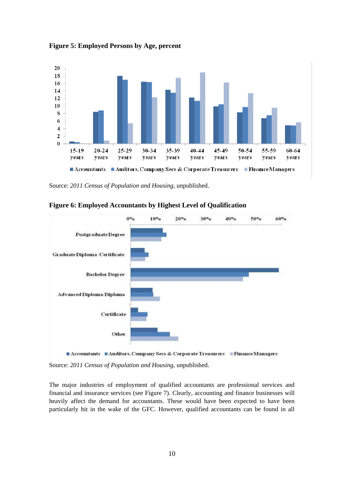

**Figure 5: Employed Persons by Age, percent**

Source: *2011 Census of Population and Hou*s*ing*, unpublished.



#### **Figure 6: Employed Accountants by Highest Level of Qualification**

Source: *2011 Census of Population and Hou*s*ing*, unpublished.

The major industries of employment of qualified accountants are professional services and financial and insurance services (see Figure 7). Clearly, accounting and finance businesses will heavily affect the demand for accountants. These would have been expected to have been particularly hit in the wake of the GFC. However, qualified accountants can be found in all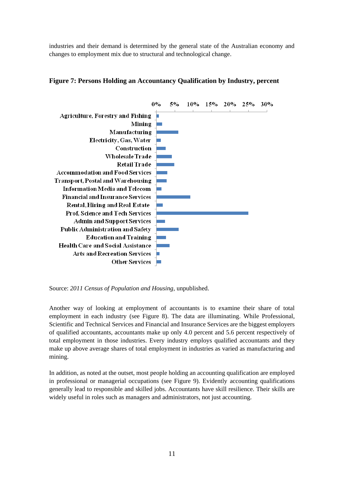industries and their demand is determined by the general state of the Australian economy and changes to employment mix due to structural and technological change.



#### **Figure 7: Persons Holding an Accountancy Qualification by Industry, percent**

Source: *2011 Census of Population and Housing*, unpublished.

Another way of looking at employment of accountants is to examine their share of total employment in each industry (see Figure 8). The data are illuminating. While Professional, Scientific and Technical Services and Financial and Insurance Services are the biggest employers of qualified accountants, accountants make up only 4.0 percent and 5.6 percent respectively of total employment in those industries. Every industry employs qualified accountants and they make up above average shares of total employment in industries as varied as manufacturing and mining.

In addition, as noted at the outset, most people holding an accounting qualification are employed in professional or managerial occupations (see Figure 9). Evidently accounting qualifications generally lead to responsible and skilled jobs. Accountants have skill resilience. Their skills are widely useful in roles such as managers and administrators, not just accounting.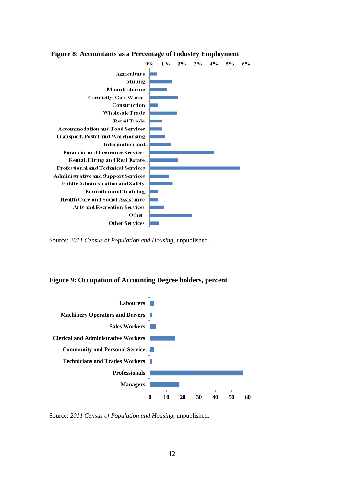

**Figure 8: Accountants as a Percentage of Industry Employment**

Source: *2011 Census of Population and Housing*, unpublished.

#### **Figure 9: Occupation of Accounting Degree holders, percent**



Source: *2011 Census of Population and Housing*, unpublished.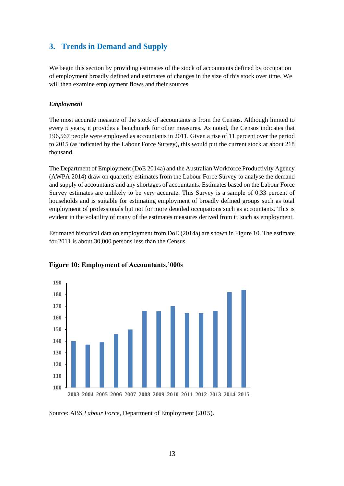## **3. Trends in Demand and Supply**

We begin this section by providing estimates of the stock of accountants defined by occupation of employment broadly defined and estimates of changes in the size of this stock over time. We will then examine employment flows and their sources.

#### *Employment*

The most accurate measure of the stock of accountants is from the Census. Although limited to every 5 years, it provides a benchmark for other measures. As noted, the Census indicates that 196,567 people were employed as accountants in 2011. Given a rise of 11 percent over the period to 2015 (as indicated by the Labour Force Survey), this would put the current stock at about 218 thousand.

The Department of Employment (DoE 2014a) and the Australian Workforce Productivity Agency (AWPA 2014) draw on quarterly estimates from the Labour Force Survey to analyse the demand and supply of accountants and any shortages of accountants. Estimates based on the Labour Force Survey estimates are unlikely to be very accurate. This Survey is a sample of 0.33 percent of households and is suitable for estimating employment of broadly defined groups such as total employment of professionals but not for more detailed occupations such as accountants. This is evident in the volatility of many of the estimates measures derived from it, such as employment.

Estimated historical data on employment from DoE (2014a) are shown in Figure 10. The estimate for 2011 is about 30,000 persons less than the Census.



#### **Figure 10: Employment of Accountants,'000s**

Source: ABS *Labour Force*, Department of Employment (2015).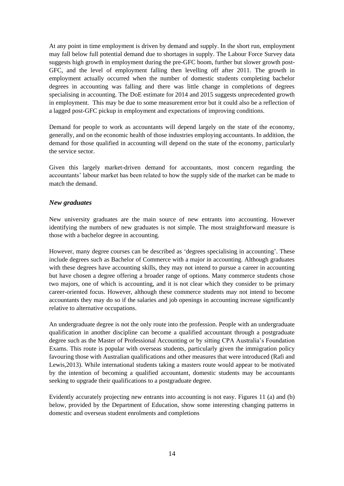At any point in time employment is driven by demand and supply. In the short run, employment may fall below full potential demand due to shortages in supply. The Labour Force Survey data suggests high growth in employment during the pre-GFC boom, further but slower growth post-GFC, and the level of employment falling then levelling off after 2011. The growth in employment actually occurred when the number of domestic students completing bachelor degrees in accounting was falling and there was little change in completions of degrees specialising in accounting. The DoE estimate for 2014 and 2015 suggests unprecedented growth in employment. This may be due to some measurement error but it could also be a reflection of a lagged post-GFC pickup in employment and expectations of improving conditions.

Demand for people to work as accountants will depend largely on the state of the economy, generally, and on the economic health of those industries employing accountants. In addition, the demand for those qualified in accounting will depend on the state of the economy, particularly the service sector.

Given this largely market-driven demand for accountants, most concern regarding the accountants' labour market has been related to how the supply side of the market can be made to match the demand.

#### *New graduates*

New university graduates are the main source of new entrants into accounting. However identifying the numbers of new graduates is not simple. The most straightforward measure is those with a bachelor degree in accounting.

However, many degree courses can be described as 'degrees specialising in accounting'. These include degrees such as Bachelor of Commerce with a major in accounting. Although graduates with these degrees have accounting skills, they may not intend to pursue a career in accounting but have chosen a degree offering a broader range of options. Many commerce students chose two majors, one of which is accounting, and it is not clear which they consider to be primary career-oriented focus. However, although these commerce students may not intend to become accountants they may do so if the salaries and job openings in accounting increase significantly relative to alternative occupations.

An undergraduate degree is not the only route into the profession. People with an undergraduate qualification in another discipline can become a qualified accountant through a postgraduate degree such as the Master of Professional Accounting or by sitting CPA Australia's Foundation Exams. This route is popular with overseas students, particularly given the immigration policy favouring those with Australian qualifications and other measures that were introduced (Rafi and Lewis,2013). While international students taking a masters route would appear to be motivated by the intention of becoming a qualified accountant, domestic students may be accountants seeking to upgrade their qualifications to a postgraduate degree.

Evidently accurately projecting new entrants into accounting is not easy. Figures 11 (a) and (b) below, provided by the Department of Education, show some interesting changing patterns in domestic and overseas student enrolments and completions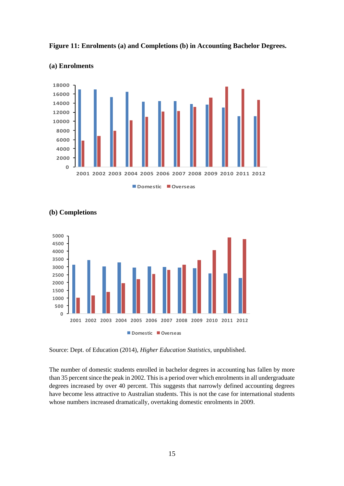



#### **(a) Enrolments**





Source: Dept. of Education (2014), *Higher Education Statistics*, unpublished.

The number of domestic students enrolled in bachelor degrees in accounting has fallen by more than 35 percent since the peak in 2002. This is a period over which enrolments in all undergraduate degrees increased by over 40 percent. This suggests that narrowly defined accounting degrees have become less attractive to Australian students. This is not the case for international students whose numbers increased dramatically, overtaking domestic enrolments in 2009.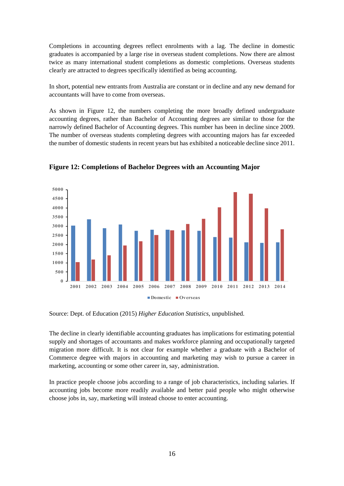Completions in accounting degrees reflect enrolments with a lag. The decline in domestic graduates is accompanied by a large rise in overseas student completions. Now there are almost twice as many international student completions as domestic completions. Overseas students clearly are attracted to degrees specifically identified as being accounting.

In short, potential new entrants from Australia are constant or in decline and any new demand for accountants will have to come from overseas.

As shown in Figure 12, the numbers completing the more broadly defined undergraduate accounting degrees, rather than Bachelor of Accounting degrees are similar to those for the narrowly defined Bachelor of Accounting degrees. This number has been in decline since 2009. The number of overseas students completing degrees with accounting majors has far exceeded the number of domestic students in recent years but has exhibited a noticeable decline since 2011.



**Figure 12: Completions of Bachelor Degrees with an Accounting Major**

Source: Dept. of Education (2015) *Higher Education Statistics*, unpublished.

The decline in clearly identifiable accounting graduates has implications for estimating potential supply and shortages of accountants and makes workforce planning and occupationally targeted migration more difficult. It is not clear for example whether a graduate with a Bachelor of Commerce degree with majors in accounting and marketing may wish to pursue a career in marketing, accounting or some other career in, say, administration.

In practice people choose jobs according to a range of job characteristics, including salaries. If accounting jobs become more readily available and better paid people who might otherwise choose jobs in, say, marketing will instead choose to enter accounting.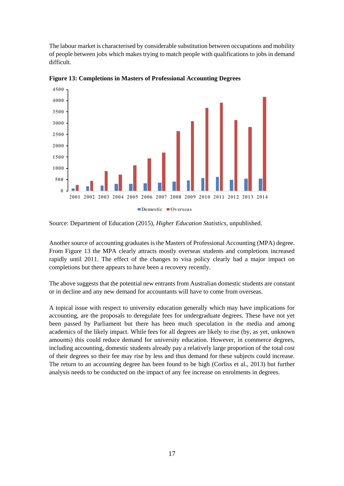The labour market is characterised by considerable substitution between occupations and mobility of people between jobs which makes trying to match people with qualifications to jobs in demand difficult.



**Figure 13: Completions in Masters of Professional Accounting Degrees**

Source: Department of Education (2015), *Higher Education Statistics*, unpublished.

Another source of accounting graduates is the Masters of Professional Accounting (MPA) degree. From Figure 13 the MPA clearly attracts mostly overseas students and completions increased rapidly until 2011. The effect of the changes to visa policy clearly had a major impact on completions but there appears to have been a recovery recently.

The above suggests that the potential new entrants from Australian domestic students are constant or in decline and any new demand for accountants will have to come from overseas.

A topical issue with respect to university education generally which may have implications for accounting, are the proposals to deregulate fees for undergraduate degrees. These have not yet been passed by Parliament but there has been much speculation in the media and among academics of the likely impact. While fees for all degrees are likely to rise (by, as yet, unknown amounts) this could reduce demand for university education. However, in commerce degrees, including accounting, domestic students already pay a relatively large proportion of the total cost of their degrees so their fee may rise by less and thus demand for these subjects could increase. The return to an accounting degree has been found to be high (Corliss et al., 2013) but further analysis needs to be conducted on the impact of any fee increase on enrolments in degrees.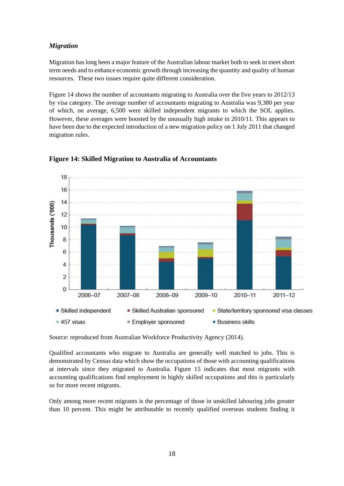#### *Migration*

Migration has long been a major feature of the Australian labour market both to seek to meet short term needs and to enhance economic growth through increasing the quantity and quality of human resources. These two issues require quite different consideration.

Figure 14 shows the number of accountants migrating to Australia over the five years to 2012/13 by visa category. The average number of accountants migrating to Australia was 9,380 per year of which, on average, 6,500 were skilled independent migrants to which the SOL applies. However, these averages were boosted by the unusually high intake in 2010/11. This appears to have been due to the expected introduction of a new migration policy on 1 July 2011 that changed migration rules.



#### **Figure 14: Skilled Migration to Australia of Accountants**

Source: reproduced from Australian Workforce Productivity Agency (2014).

Qualified accountants who migrate to Australia are generally well matched to jobs. This is demonstrated by Census data which show the occupations of those with accounting qualifications at intervals since they migrated to Australia. Figure 15 indicates that most migrants with accounting qualifications find employment in highly skilled occupations and this is particularly so for more recent migrants.

Only among more recent migrants is the percentage of those in unskilled labouring jobs greater than 10 percent. This might be attributable to recently qualified overseas students finding it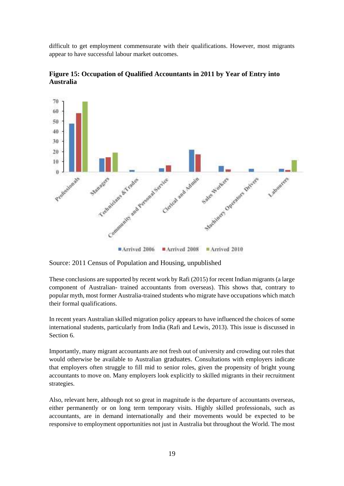difficult to get employment commensurate with their qualifications. However, most migrants appear to have successful labour market outcomes.



**Figure 15: Occupation of Qualified Accountants in 2011 by Year of Entry into Australia**

Source: 2011 Census of Population and Housing, unpublished

These conclusions are supported by recent work by Rafi (2015) for recent Indian migrants (a large component of Australian- trained accountants from overseas). This shows that, contrary to popular myth, most former Australia-trained students who migrate have occupations which match their formal qualifications.

In recent years Australian skilled migration policy appears to have influenced the choices of some international students, particularly from India (Rafi and Lewis, 2013). This issue is discussed in Section 6.

Importantly, many migrant accountants are not fresh out of university and crowding out roles that would otherwise be available to Australian graduates. Consultations with employers indicate that employers often struggle to fill mid to senior roles, given the propensity of bright young accountants to move on. Many employers look explicitly to skilled migrants in their recruitment strategies.

Also, relevant here, although not so great in magnitude is the departure of accountants overseas, either permanently or on long term temporary visits. Highly skilled professionals, such as accountants, are in demand internationally and their movements would be expected to be responsive to employment opportunities not just in Australia but throughout the World. The most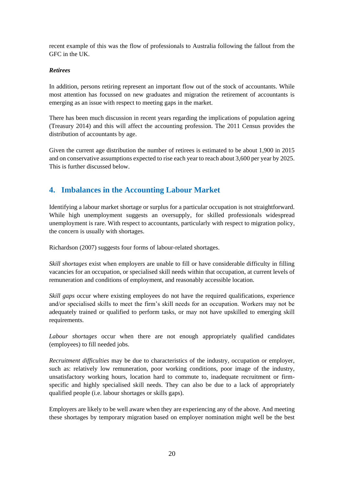recent example of this was the flow of professionals to Australia following the fallout from the GFC in the UK.

#### *Retirees*

In addition, persons retiring represent an important flow out of the stock of accountants. While most attention has focussed on new graduates and migration the retirement of accountants is emerging as an issue with respect to meeting gaps in the market.

There has been much discussion in recent years regarding the implications of population ageing (Treasury 2014) and this will affect the accounting profession. The 2011 Census provides the distribution of accountants by age.

Given the current age distribution the number of retirees is estimated to be about 1,900 in 2015 and on conservative assumptions expected to rise each year to reach about 3,600 per year by 2025. This is further discussed below.

## **4. Imbalances in the Accounting Labour Market**

Identifying a labour market shortage or surplus for a particular occupation is not straightforward. While high unemployment suggests an oversupply, for skilled professionals widespread unemployment is rare. With respect to accountants, particularly with respect to migration policy, the concern is usually with shortages.

Richardson (2007) suggests four forms of labour-related shortages.

*Skill shortages* exist when employers are unable to fill or have considerable difficulty in filling vacancies for an occupation, or specialised skill needs within that occupation, at current levels of remuneration and conditions of employment, and reasonably accessible location.

*Skill gaps* occur where existing employees do not have the required qualifications, experience and/or specialised skills to meet the firm's skill needs for an occupation. Workers may not be adequately trained or qualified to perform tasks, or may not have upskilled to emerging skill requirements.

*Labour shortages* occur when there are not enough appropriately qualified candidates (employees) to fill needed jobs.

*Recruitment difficulties* may be due to characteristics of the industry, occupation or employer, such as: relatively low remuneration, poor working conditions, poor image of the industry, unsatisfactory working hours, location hard to commute to, inadequate recruitment or firmspecific and highly specialised skill needs. They can also be due to a lack of appropriately qualified people (i.e. labour shortages or skills gaps).

Employers are likely to be well aware when they are experiencing any of the above. And meeting these shortages by temporary migration based on employer nomination might well be the best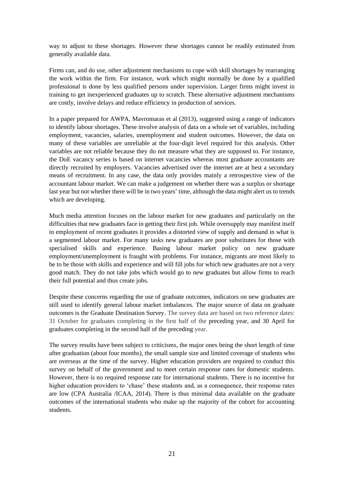way to adjust to these shortages. However these shortages cannot be readily estimated from generally available data.

Firms can, and do use, other adjustment mechanisms to cope with skill shortages by rearranging the work within the firm. For instance, work which might normally be done by a qualified professional is done by less qualified persons under supervision. Larger firms might invest in training to get inexperienced graduates up to scratch. These alternative adjustment mechanisms are costly, involve delays and reduce efficiency in production of services.

In a paper prepared for AWPA, Mavromaras et al (2013), suggested using a range of indicators to identify labour shortages. These involve analysis of data on a whole set of variables, including employment, vacancies, salaries, unemployment and student outcomes. However, the data on many of these variables are unreliable at the four-digit level required for this analysis. Other variables are not reliable because they do not measure what they are supposed to. For instance, the DoE vacancy series is based on internet vacancies whereas most graduate accountants are directly recruited by employers. Vacancies advertised over the internet are at best a secondary means of recruitment. In any case, the data only provides mainly a retrospective view of the accountant labour market. We can make a judgement on whether there was a surplus or shortage last year but not whether there will be in two years' time, although the data might alert us to trends which are developing.

Much media attention focuses on the labour market for new graduates and particularly on the difficulties that new graduates face in getting their first job. While oversupply may manifest itself in employment of recent graduates it provides a distorted view of supply and demand in what is a segmented labour market. For many tasks new graduates are poor substitutes for those with specialised skills and experience. Basing labour market policy on new graduate employment/unemployment is fraught with problems. For instance, migrants are most likely to be to be those with skills and experience and will fill jobs for which new graduates are not a very good match. They do not take jobs which would go to new graduates but allow firms to reach their full potential and thus create jobs.

Despite these concerns regarding the use of graduate outcomes, indicators on new graduates are still used to identify general labour market imbalances. The major source of data on graduate outcomes is the Graduate Destination Survey. The survey data are based on two reference dates: 31 October for graduates completing in the first half of the preceding year, and 30 April for graduates completing in the second half of the preceding year.

The survey results have been subject to criticisms, the major ones being the short length of time after graduation (about four months), the small sample size and limited coverage of students who are overseas at the time of the survey. Higher education providers are required to conduct this survey on behalf of the government and to meet certain response rates for domestic students. However, there is no required response rate for international students. There is no incentive for higher education providers to 'chase' these students and, as a consequence, their response rates are low (CPA Australia /ICAA, 2014). There is thus minimal data available on the graduate outcomes of the international students who make up the majority of the cohort for accounting students.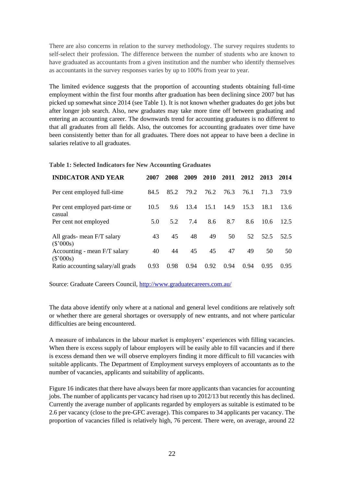There are also concerns in relation to the survey methodology. The survey requires students to self-select their profession. The difference between the number of students who are known to have graduated as accountants from a given institution and the number who identify themselves as accountants in the survey responses varies by up to 100% from year to year.

The limited evidence suggests that the proportion of accounting students obtaining full-time employment within the first four months after graduation has been declining since 2007 but has picked up somewhat since 2014 (see Table 1). It is not known whether graduates do get jobs but after longer job search. Also, new graduates may take more time off between graduating and entering an accounting career. The downwards trend for accounting graduates is no different to that all graduates from all fields. Also, the outcomes for accounting graduates over time have been consistently better than for all graduates. There does not appear to have been a decline in salaries relative to all graduates.

#### **Table 1: Selected Indicators for New Accounting Graduates**

| <b>INDICATOR AND YEAR</b>                   | 2007 | 2008 | 2009 | 2010 | 2011 | 2012 | 2013 | 2014 |
|---------------------------------------------|------|------|------|------|------|------|------|------|
| Per cent employed full-time                 | 84.5 | 85.2 | 79.2 | 76.2 | 76.3 | 76.1 | 71.3 | 73.9 |
| Per cent employed part-time or<br>casual    | 10.5 | 9.6  | 13.4 | 15.1 | 14.9 | 15.3 | 18.1 | 13.6 |
| Per cent not employed                       | 5.0  | 5.2  | 7.4  | 8.6  | 8.7  | 8.6  | 10.6 | 12.5 |
| All grads- mean F/T salary<br>$(\$'000s)$   | 43   | 45   | 48   | 49   | 50   | 52   | 52.5 | 52.5 |
| Accounting - mean F/T salary<br>$(\$'000s)$ | 40   | 44   | 45   | 45   | 47   | 49   | 50   | 50   |
| Ratio accounting salary/all grads           | 0.93 | 0.98 | 0.94 | 0.92 | 0.94 | 0.94 | 0.95 | 0.95 |

Source: Graduate Careers Council,<http://www.graduatecareers.com.au/>

The data above identify only where at a national and general level conditions are relatively soft or whether there are general shortages or oversupply of new entrants, and not where particular difficulties are being encountered.

A measure of imbalances in the labour market is employers' experiences with filling vacancies. When there is excess supply of labour employers will be easily able to fill vacancies and if there is excess demand then we will observe employers finding it more difficult to fill vacancies with suitable applicants. The Department of Employment surveys employers of accountants as to the number of vacancies, applicants and suitability of applicants.

Figure 16 indicates that there have always been far more applicants than vacancies for accounting jobs. The number of applicants per vacancy had risen up to 2012/13 but recently this has declined. Currently the average number of applicants regarded by employers as suitable is estimated to be 2.6 per vacancy (close to the pre-GFC average). This compares to 34 applicants per vacancy. The proportion of vacancies filled is relatively high, 76 percent. There were, on average, around 22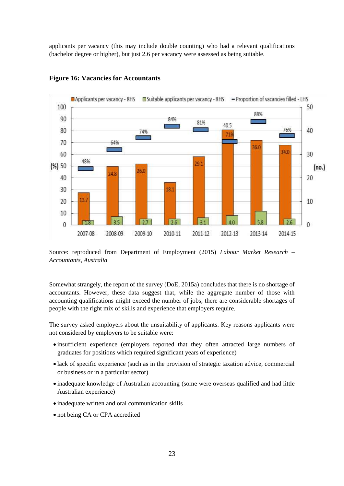applicants per vacancy (this may include double counting) who had a relevant qualifications (bachelor degree or higher), but just 2.6 per vacancy were assessed as being suitable.



#### **Figure 16: Vacancies for Accountants**

Source: reproduced from Department of Employment (2015) *Labour Market Research – Accountants, Australia*

Somewhat strangely, the report of the survey (DoE, 2015a) concludes that there is no shortage of accountants. However, these data suggest that, while the aggregate number of those with accounting qualifications might exceed the number of jobs, there are considerable shortages of people with the right mix of skills and experience that employers require.

The survey asked employers about the unsuitability of applicants. Key reasons applicants were not considered by employers to be suitable were:

- insufficient experience (employers reported that they often attracted large numbers of graduates for positions which required significant years of experience)
- lack of specific experience (such as in the provision of strategic taxation advice, commercial or business or in a particular sector)
- inadequate knowledge of Australian accounting (some were overseas qualified and had little Australian experience)
- inadequate written and oral communication skills
- not being CA or CPA accredited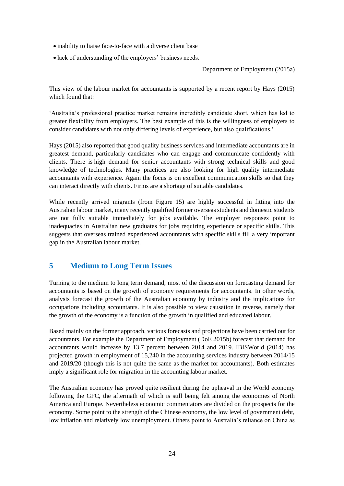- inability to liaise face-to-face with a diverse client base
- lack of understanding of the employers' business needs.

#### Department of Employment (2015a)

This view of the labour market for accountants is supported by a recent report by Hays (2015) which found that:

'Australia's professional practice market remains incredibly candidate short, which has led to greater flexibility from employers. The best example of this is the willingness of employers to consider candidates with not only differing levels of experience, but also qualifications.'

Hays (2015) also reported that good quality business services and intermediate accountants are in greatest demand, particularly candidates who can engage and communicate confidently with clients. There is high demand for senior accountants with strong technical skills and good knowledge of technologies. Many practices are also looking for high quality intermediate accountants with experience. Again the focus is on excellent communication skills so that they can interact directly with clients. Firms are a shortage of suitable candidates.

While recently arrived migrants (from Figure 15) are highly successful in fitting into the Australian labour market, many recently qualified former overseas students and domestic students are not fully suitable immediately for jobs available. The employer responses point to inadequacies in Australian new graduates for jobs requiring experience or specific skills. This suggests that overseas trained experienced accountants with specific skills fill a very important gap in the Australian labour market.

## **5 Medium to Long Term Issues**

Turning to the medium to long term demand, most of the discussion on forecasting demand for accountants is based on the growth of economy requirements for accountants. In other words, analysts forecast the growth of the Australian economy by industry and the implications for occupations including accountants. It is also possible to view causation in reverse, namely that the growth of the economy is a function of the growth in qualified and educated labour.

Based mainly on the former approach, various forecasts and projections have been carried out for accountants. For example the Department of Employment (DoE 2015b) forecast that demand for accountants would increase by 13.7 percent between 2014 and 2019. IBISWorld (2014) has projected growth in employment of 15,240 in the accounting services industry between 2014/15 and 2019/20 (though this is not quite the same as the market for accountants). Both estimates imply a significant role for migration in the accounting labour market.

The Australian economy has proved quite resilient during the upheaval in the World economy following the GFC, the aftermath of which is still being felt among the economies of North America and Europe. Nevertheless economic commentators are divided on the prospects for the economy. Some point to the strength of the Chinese economy, the low level of government debt, low inflation and relatively low unemployment. Others point to Australia's reliance on China as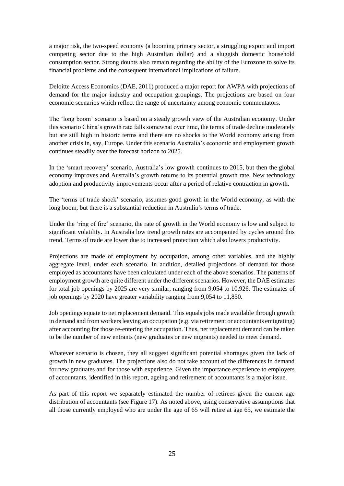a major risk, the two-speed economy (a booming primary sector, a struggling export and import competing sector due to the high Australian dollar) and a sluggish domestic household consumption sector. Strong doubts also remain regarding the ability of the Eurozone to solve its financial problems and the consequent international implications of failure.

Deloitte Access Economics (DAE, 2011) produced a major report for AWPA with projections of demand for the major industry and occupation groupings. The projections are based on four economic scenarios which reflect the range of uncertainty among economic commentators.

The 'long boom' scenario is based on a steady growth view of the Australian economy. Under this scenario China's growth rate falls somewhat over time, the terms of trade decline moderately but are still high in historic terms and there are no shocks to the World economy arising from another crisis in, say, Europe. Under this scenario Australia's economic and employment growth continues steadily over the forecast horizon to 2025.

In the 'smart recovery' scenario, Australia's low growth continues to 2015, but then the global economy improves and Australia's growth returns to its potential growth rate. New technology adoption and productivity improvements occur after a period of relative contraction in growth.

The 'terms of trade shock' scenario, assumes good growth in the World economy, as with the long boom, but there is a substantial reduction in Australia's terms of trade.

Under the 'ring of fire' scenario, the rate of growth in the World economy is low and subject to significant volatility. In Australia low trend growth rates are accompanied by cycles around this trend. Terms of trade are lower due to increased protection which also lowers productivity.

Projections are made of employment by occupation, among other variables, and the highly aggregate level, under each scenario. In addition, detailed projections of demand for those employed as accountants have been calculated under each of the above scenarios. The patterns of employment growth are quite different under the different scenarios. However, the DAE estimates for total job openings by 2025 are very similar, ranging from 9,054 to 10,926. The estimates of job openings by 2020 have greater variability ranging from 9,054 to 11,850.

Job openings equate to net replacement demand. This equals jobs made available through growth in demand and from workers leaving an occupation (e.g. via retirement or accountants emigrating) after accounting for those re-entering the occupation. Thus, net replacement demand can be taken to be the number of new entrants (new graduates or new migrants) needed to meet demand.

Whatever scenario is chosen, they all suggest significant potential shortages given the lack of growth in new graduates. The projections also do not take account of the differences in demand for new graduates and for those with experience. Given the importance experience to employers of accountants, identified in this report, ageing and retirement of accountants is a major issue.

As part of this report we separately estimated the number of retirees given the current age distribution of accountants (see Figure 17). As noted above, using conservative assumptions that all those currently employed who are under the age of 65 will retire at age 65, we estimate the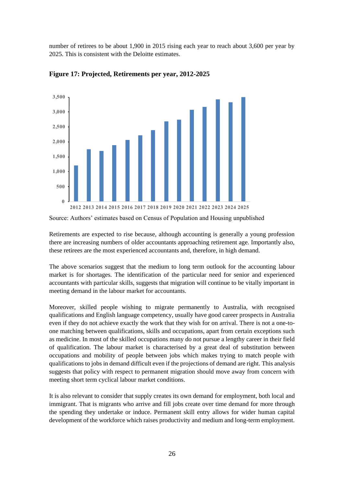number of retirees to be about 1,900 in 2015 rising each year to reach about 3,600 per year by 2025. This is consistent with the Deloitte estimates.



**Figure 17: Projected, Retirements per year, 2012-2025** 

Retirements are expected to rise because, although accounting is generally a young profession there are increasing numbers of older accountants approaching retirement age. Importantly also, these retirees are the most experienced accountants and, therefore, in high demand.

The above scenarios suggest that the medium to long term outlook for the accounting labour market is for shortages. The identification of the particular need for senior and experienced accountants with particular skills, suggests that migration will continue to be vitally important in meeting demand in the labour market for accountants.

Moreover, skilled people wishing to migrate permanently to Australia, with recognised qualifications and English language competency, usually have good career prospects in Australia even if they do not achieve exactly the work that they wish for on arrival. There is not a one-toone matching between qualifications, skills and occupations, apart from certain exceptions such as medicine. In most of the skilled occupations many do not pursue a lengthy career in their field of qualification. The labour market is characterised by a great deal of substitution between occupations and mobility of people between jobs which makes trying to match people with qualifications to jobs in demand difficult even if the projections of demand are right. This analysis suggests that policy with respect to permanent migration should move away from concern with meeting short term cyclical labour market conditions.

It is also relevant to consider that supply creates its own demand for employment, both local and immigrant. That is migrants who arrive and fill jobs create over time demand for more through the spending they undertake or induce. Permanent skill entry allows for wider human capital development of the workforce which raises productivity and medium and long-term employment.

Source: Authors' estimates based on Census of Population and Housing unpublished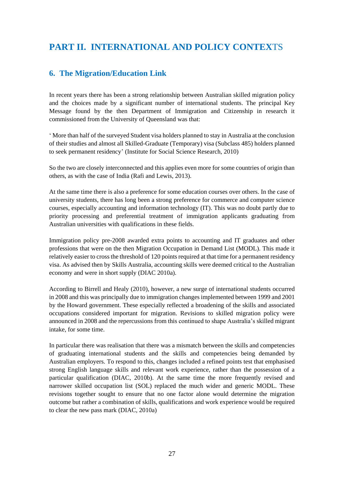# **PART II. INTERNATIONAL AND POLICY CONTEX**TS

## **6. The Migration/Education Link**

In recent years there has been a strong relationship between Australian skilled migration policy and the choices made by a significant number of international students. The principal Key Message found by the then Department of Immigration and Citizenship in research it commissioned from the University of Queensland was that:

' More than half of the surveyed Student visa holders planned to stay in Australia at the conclusion of their studies and almost all Skilled-Graduate (Temporary) visa (Subclass 485) holders planned to seek permanent residency' (Institute for Social Science Research, 2010)

So the two are closely interconnected and this applies even more for some countries of origin than others, as with the case of India (Rafi and Lewis, 2013).

At the same time there is also a preference for some education courses over others. In the case of university students, there has long been a strong preference for commerce and computer science courses, especially accounting and information technology (IT). This was no doubt partly due to priority processing and preferential treatment of immigration applicants graduating from Australian universities with qualifications in these fields.

Immigration policy pre-2008 awarded extra points to accounting and IT graduates and other professions that were on the then Migration Occupation in Demand List (MODL). This made it relatively easier to cross the threshold of 120 points required at that time for a permanent residency visa. As advised then by Skills Australia, accounting skills were deemed critical to the Australian economy and were in short supply (DIAC 2010a).

According to Birrell and Healy (2010), however, a new surge of international students occurred in 2008 and this was principally due to immigration changes implemented between 1999 and 2001 by the Howard government. These especially reflected a broadening of the skills and associated occupations considered important for migration. Revisions to skilled migration policy were announced in 2008 and the repercussions from this continued to shape Australia's skilled migrant intake, for some time.

In particular there was realisation that there was a mismatch between the skills and competencies of graduating international students and the skills and competencies being demanded by Australian employers. To respond to this, changes included a refined points test that emphasised strong English language skills and relevant work experience, rather than the possession of a particular qualification (DIAC, 2010b). At the same time the more frequently revised and narrower skilled occupation list (SOL) replaced the much wider and generic MODL. These revisions together sought to ensure that no one factor alone would determine the migration outcome but rather a combination of skills, qualifications and work experience would be required to clear the new pass mark (DIAC, 2010a)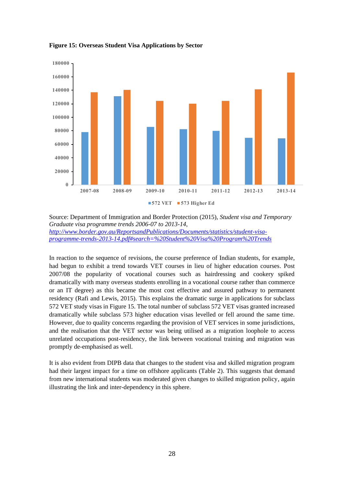

**Figure 15: Overseas Student Visa Applications by Sector** 

Source: Department of Immigration and Border Protection (2015), *Student visa and Temporary Graduate visa programme trends 2006-07 to 2013-14, [http://www.border.gov.au/ReportsandPublications/Documents/statistics/student-visa](http://www.border.gov.au/ReportsandPublications/Documents/statistics/student-visa-programme-trends-2013-14.pdf#search=%20Student%20Visa%20Program%20Trends)[programme-trends-2013-14.pdf#search=%20Student%20Visa%20Program%20Trends](http://www.border.gov.au/ReportsandPublications/Documents/statistics/student-visa-programme-trends-2013-14.pdf#search=%20Student%20Visa%20Program%20Trends)*

In reaction to the sequence of revisions, the course preference of Indian students, for example, had begun to exhibit a trend towards VET courses in lieu of higher education courses. Post 2007/08 the popularity of vocational courses such as hairdressing and cookery spiked dramatically with many overseas students enrolling in a vocational course rather than commerce or an IT degree) as this became the most cost effective and assured pathway to permanent residency (Rafi and Lewis, 2015). This explains the dramatic surge in applications for subclass 572 VET study visas in Figure 15. The total number of subclass 572 VET visas granted increased dramatically while subclass 573 higher education visas levelled or fell around the same time. However, due to quality concerns regarding the provision of VET services in some jurisdictions, and the realisation that the VET sector was being utilised as a migration loophole to access unrelated occupations post-residency, the link between vocational training and migration was promptly de-emphasised as well.

It is also evident from DIPB data that changes to the student visa and skilled migration program had their largest impact for a time on offshore applicants (Table 2). This suggests that demand from new international students was moderated given changes to skilled migration policy, again illustrating the link and inter-dependency in this sphere.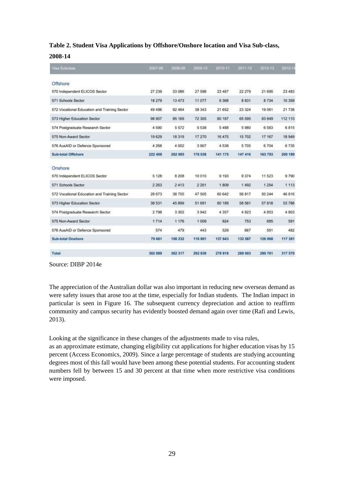#### **Table 2. Student Visa Applications by Offshore/Onshore location and Visa Sub-class,**

#### **2008-14**

| Visa Subclass                                | 2007-08 | 2008-09 | 2009-10 | 2010-11 | 2011-12     | 2012-13     | 2013-14 |
|----------------------------------------------|---------|---------|---------|---------|-------------|-------------|---------|
| Offshore                                     |         |         |         |         |             |             |         |
| 570 Independent ELICOS Sector                | 27 239  | 33 086  | 27 598  | 23 467  | 22 279      | 21 695      | 23 483  |
| 571 Schools Sector                           | 18 279  | 13 473  | 11 077  | 9 3 6 8 | <b>8831</b> | <b>B734</b> | 10 359  |
| 572 Vocational Education and Training Sector | 49 49 6 | 92 464  | 38 34 3 | 21 652  | 23 324      | 19061       | 21 738  |
| 573 Higher Education Sector                  | 98 907  | 95 169  | 72 305  | 60 187  | 65 595      | 83 849      | 112 110 |
| 574 Postgraduate Research Sector             | 4 590   | 5.572   | 5538    | 5488    | 5980        | 6583        | 6815    |
| 575 Non-Award Sector                         | 19 629  | 18 319  | 17 270  | 16 475  | 15 702      | 17 167      | 18 949  |
| 576 AusAID or Defence Sponsored              | 4 2 6 8 | 4 002   | 3907    | 4538    | 5 705       | 6704        | 6735    |
| <b>Sub-total Offshore</b>                    | 222 408 | 262 085 | 176 038 | 141 175 | 147 416     | 163 793     | 200 189 |
| Onshore                                      |         |         |         |         |             |             |         |
| 570 Independent ELICOS Sector                | 5 1 2 8 | 8 2 0 8 | 10 010  | 9 1 9 3 | 9374        | 11 523      | 9790    |
| 571 Schools Sector                           | 2 2 6 3 | 2413    | 2 2 0 1 | 1809    | 1492        | 1 2 5 4     | 1 1 1 3 |
| 572 Vocational Education and Training Sector | 28 673  | 38 755  | 47 505  | 60 642  | 56 817      | 50 244      | 46 816  |
| 573 Higher Education Sector                  | 38 531  | 45 899  | 51 691  | 60 189  | 58 561      | 57.818      | 53 786  |
| 574 Postgraduate Research Sector             | 2798    | 3 3 0 2 | 3942    | 4 3 5 7 | 4923        | 4853        | 4803    |
| 575 Non-Award Sector                         | 1714    | 1 176   | 1 0 0 9 | 924     | 753         | 685         | 591     |
| 576 AusAID or Defence Sponsored              | 574     | 479     | 443     | 529     | 667         | 591         | 482     |
| <b>Sub-total Onshore</b>                     | 79 681  | 100 232 | 116 801 | 137 643 | 132 587     | 126 968     | 117 381 |
| Total                                        | 302 089 | 362 317 | 292 839 | 278 818 | 280 003     | 290 761     | 317 570 |

Source: DIBP 2014e

The appreciation of the Australian dollar was also important in reducing new overseas demand as were safety issues that arose too at the time, especially for Indian students. The Indian impact in particular is seen in Figure 16. The subsequent currency depreciation and action to reaffirm community and campus security has evidently boosted demand again over time (Rafi and Lewis, 2013).

Looking at the significance in these changes of the adjustments made to visa rules,

as an approximate estimate, changing eligibility cut applications for higher education visas by 15 percent (Access Economics, 2009). Since a large percentage of students are studying accounting degrees most of this fall would have been among these potential students. For accounting student numbers fell by between 15 and 30 percent at that time when more restrictive visa conditions were imposed.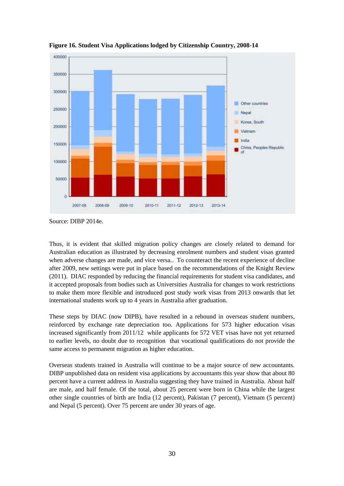

**Figure 16. Student Visa Applications lodged by Citizenship Country, 2008-14**

Thus, it is evident that skilled migration policy changes are closely related to demand for Australian education as illustrated by decreasing enrolment numbers and student visas granted when adverse changes are made, and vice versa.. To counteract the recent experience of decline after 2009, new settings were put in place based on the recommendations of the Knight Review (2011). DIAC responded by reducing the financial requirements for student visa candidates, and it accepted proposals from bodies such as Universities Australia for changes to work restrictions to make them more flexible and introduced post study work visas from 2013 onwards that let international students work up to 4 years in Australia after graduation.

These steps by DIAC (now DIPB), have resulted in a rebound in overseas student numbers, reinforced by exchange rate depreciation too. Applications for 573 higher education visas increased significantly from 2011/12 while applicants for 572 VET visas have not yet returned to earlier levels, no doubt due to recognition that vocational qualifications do not provide the same access to permanent migration as higher education.

Overseas students trained in Australia will continue to be a major source of new accountants. DIBP unpublished data on resident visa applications by accountants this year show that about 80 percent have a current address in Australia suggesting they have trained in Australia. About half are male, and half female. Of the total, about 25 percent were born in China while the largest other single countries of birth are India (12 percent), Pakistan (7 percent), Vietnam (5 percent) and Nepal (5 percent). Over 75 percent are under 30 years of age.

Source: DIBP 2014e.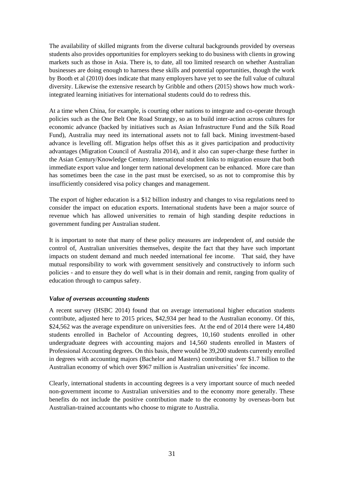The availability of skilled migrants from the diverse cultural backgrounds provided by overseas students also provides opportunities for employers seeking to do business with clients in growing markets such as those in Asia. There is, to date, all too limited research on whether Australian businesses are doing enough to harness these skills and potential opportunities, though the work by Booth et al (2010) does indicate that many employers have yet to see the full value of cultural diversity. Likewise the extensive research by Gribble and others (2015) shows how much workintegrated learning initiatives for international students could do to redress this.

At a time when China, for example, is courting other nations to integrate and co-operate through policies such as the One Belt One Road Strategy, so as to build inter-action across cultures for economic advance (backed by initiatives such as Asian Infrastructure Fund and the Silk Road Fund), Australia may need its international assets not to fall back. Mining investment-based advance is levelling off. Migration helps offset this as it gives participation and productivity advantages (Migration Council of Australia 2014), and it also can super-charge these further in the Asian Century/Knowledge Century. International student links to migration ensure that both immediate export value and longer term national development can be enhanced. More care than has sometimes been the case in the past must be exercised, so as not to compromise this by insufficiently considered visa policy changes and management.

The export of higher education is a \$12 billion industry and changes to visa regulations need to consider the impact on education exports. International students have been a major source of revenue which has allowed universities to remain of high standing despite reductions in government funding per Australian student.

It is important to note that many of these policy measures are independent of, and outside the control of, Australian universities themselves, despite the fact that they have such important impacts on student demand and much needed international fee income. That said, they have mutual responsibility to work with government sensitively and constructively to inform such policies - and to ensure they do well what is in their domain and remit, ranging from quality of education through to campus safety.

#### *Value of overseas accounting students*

A recent survey (HSBC 2014) found that on average international higher education students contribute, adjusted here to 2015 prices, \$42,934 per head to the Australian economy. Of this, \$24,562 was the average expenditure on universities fees. At the end of 2014 there were 14,480 students enrolled in Bachelor of Accounting degrees, 10,160 students enrolled in other undergraduate degrees with accounting majors and 14,560 students enrolled in Masters of Professional Accounting degrees. On this basis, there would be 39,200 students currently enrolled in degrees with accounting majors (Bachelor and Masters) contributing over \$1.7 billion to the Australian economy of which over \$967 million is Australian universities' fee income.

Clearly, international students in accounting degrees is a very important source of much needed non-government income to Australian universities and to the economy more generally. These benefits do not include the positive contribution made to the economy by overseas-born but Australian-trained accountants who choose to migrate to Australia.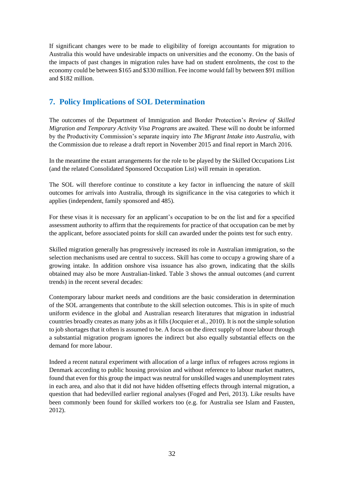If significant changes were to be made to eligibility of foreign accountants for migration to Australia this would have undesirable impacts on universities and the economy. On the basis of the impacts of past changes in migration rules have had on student enrolments, the cost to the economy could be between \$165 and \$330 million. Fee income would fall by between \$91 million and \$182 million.

## **7. Policy Implications of SOL Determination**

The outcomes of the Department of Immigration and Border Protection's *Review of Skilled Migration and Temporary Activity Visa Programs* are awaited. These will no doubt be informed by the Productivity Commission's separate inquiry into *The Migrant Intake into Australia*, with the Commission due to release a draft report in November 2015 and final report in March 2016.

In the meantime the extant arrangements for the role to be played by the Skilled Occupations List (and the related Consolidated Sponsored Occupation List) will remain in operation.

The SOL will therefore continue to constitute a key factor in influencing the nature of skill outcomes for arrivals into Australia, through its significance in the visa categories to which it applies (independent, family sponsored and 485).

For these visas it is necessary for an applicant's occupation to be on the list and for a specified assessment authority to affirm that the requirements for practice of that occupation can be met by the applicant, before associated points for skill can awarded under the points test for such entry.

Skilled migration generally has progressively increased its role in Australian immigration, so the selection mechanisms used are central to success. Skill has come to occupy a growing share of a growing intake. In addition onshore visa issuance has also grown, indicating that the skills obtained may also be more Australian-linked. Table 3 shows the annual outcomes (and current trends) in the recent several decades:

Contemporary labour market needs and conditions are the basic consideration in determination of the SOL arrangements that contribute to the skill selection outcomes. This is in spite of much uniform evidence in the global and Australian research literatures that migration in industrial countries broadly creates as many jobs as it fills (Jocquier et al., 2010). It is not the simple solution to job shortages that it often is assumed to be. A focus on the direct supply of more labour through a substantial migration program ignores the indirect but also equally substantial effects on the demand for more labour.

Indeed a recent natural experiment with allocation of a large influx of refugees across regions in Denmark according to public housing provision and without reference to labour market matters, found that even for this group the impact was neutral for unskilled wages and unemployment rates in each area, and also that it did not have hidden offsetting effects through internal migration, a question that had bedevilled earlier regional analyses (Foged and Peri, 2013). Like results have been commonly been found for skilled workers too (e.g. for Australia see Islam and Fausten, 2012).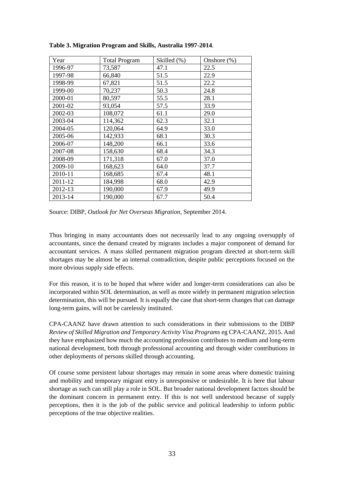| Year    | <b>Total Program</b> | Skilled (%) | Onshore (%) |
|---------|----------------------|-------------|-------------|
| 1996-97 | 73,587               | 47.1        | 22.5        |
| 1997-98 | 66,840               | 51.5        | 22.9        |
| 1998-99 | 67,821               | 51.5        | 22.2        |
| 1999-00 | 70,237               | 50.3        | 24.8        |
| 2000-01 | 80,597               | 55.5        | 28.1        |
| 2001-02 | 93,054               | 57.5        | 33.9        |
| 2002-03 | 108,072              | 61.1        | 29.0        |
| 2003-04 | 114,362              | 62.3        | 32.1        |
| 2004-05 | 120,064              | 64.9        | 33.0        |
| 2005-06 | 142,933              | 68.1        | 30.3        |
| 2006-07 | 148,200              | 66.1        | 33.6        |
| 2007-08 | 158,630              | 68.4        | 34.3        |
| 2008-09 | 171,318              | 67.0        | 37.0        |
| 2009-10 | 168,623              | 64.0        | 37.7        |
| 2010-11 | 168,685              | 67.4        | 48.1        |
| 2011-12 | 184,998              | 68.0        | 42.9        |
| 2012-13 | 190,000              | 67.9        | 49.9        |
| 2013-14 | 190,000              | 67.7        | 50.4        |

**Table 3. Migration Program and Skills, Australia 1997-2014**.

Source: DIBP, *Outlook for Net Overseas Migration*, September 2014.

Thus bringing in many accountants does not necessarily lead to any ongoing oversupply of accountants, since the demand created by migrants includes a major component of demand for accountant services. A mass skilled permanent migration program directed at short-term skill shortages may be almost be an internal contradiction, despite public perceptions focused on the more obvious supply side effects.

For this reason, it is to be hoped that where wider and longer-term considerations can also be incorporated within SOL determination, as well as more widely in permanent migration selection determination, this will be pursued. It is equally the case that short-term changes that can damage long-term gains, will not be carelessly instituted.

CPA-CAANZ have drawn attention to such considerations in their submissions to the DIBP *Review of Skilled Migration and Temporary Activity Visa Programs* eg CPA-CAANZ, 2015. And they have emphasized how much the accounting profession contributes to medium and long-term national development, both through professional accounting and through wider contributions in other deployments of persons skilled through accounting.

Of course some persistent labour shortages may remain in some areas where domestic training and mobility and temporary migrant entry is unresponsive or undesirable. It is here that labour shortage as such can still play a role in SOL. But broader national development factors should be the dominant concern in permanent entry. If this is not well understood because of supply perceptions, then it is the job of the public service and political leadership to inform public perceptions of the true objective realities.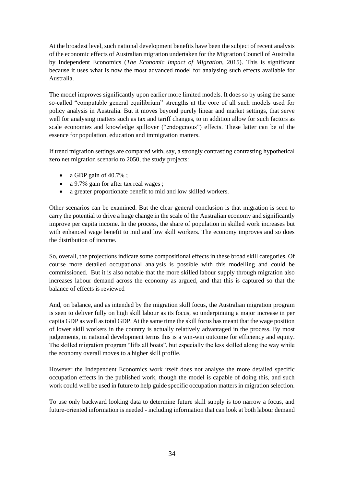At the broadest level, such national development benefits have been the subject of recent analysis of the economic effects of Australian migration undertaken for the Migration Council of Australia by Independent Economics (*The Economic Impact of Migration,* 2015). This is significant because it uses what is now the most advanced model for analysing such effects available for Australia.

The model improves significantly upon earlier more limited models. It does so by using the same so-called "computable general equilibrium" strengths at the core of all such models used for policy analysis in Australia. But it moves beyond purely linear and market settings, that serve well for analysing matters such as tax and tariff changes, to in addition allow for such factors as scale economies and knowledge spillover ("endogenous") effects. These latter can be of the essence for population, education and immigration matters.

If trend migration settings are compared with, say, a strongly contrasting contrasting hypothetical zero net migration scenario to 2050, the study projects:

- a GDP gain of  $40.7\%$ ;
- a 9.7% gain for after tax real wages;
- a greater proportionate benefit to mid and low skilled workers.

Other scenarios can be examined. But the clear general conclusion is that migration is seen to carry the potential to drive a huge change in the scale of the Australian economy and significantly improve per capita income. In the process, the share of population in skilled work increases but with enhanced wage benefit to mid and low skill workers. The economy improves and so does the distribution of income.

So, overall, the projections indicate some compositional effects in these broad skill categories. Of course more detailed occupational analysis is possible with this modelling and could be commissioned. But it is also notable that the more skilled labour supply through migration also increases labour demand across the economy as argued, and that this is captured so that the balance of effects is reviewed

And, on balance, and as intended by the migration skill focus, the Australian migration program is seen to deliver fully on high skill labour as its focus, so underpinning a major increase in per capita GDP as well as total GDP. At the same time the skill focus has meant that the wage position of lower skill workers in the country is actually relatively advantaged in the process. By most judgements, in national development terms this is a win-win outcome for efficiency and equity. The skilled migration program "lifts all boats", but especially the less skilled along the way while the economy overall moves to a higher skill profile.

However the Independent Economics work itself does not analyse the more detailed specific occupation effects in the published work, though the model is capable of doing this, and such work could well be used in future to help guide specific occupation matters in migration selection.

To use only backward looking data to determine future skill supply is too narrow a focus, and future-oriented information is needed - including information that can look at both labour demand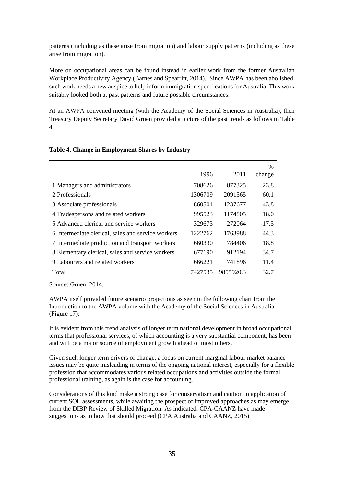patterns (including as these arise from migration) and labour supply patterns (including as these arise from migration).

More on occupational areas can be found instead in earlier work from the former Australian Workplace Productivity Agency (Barnes and Spearritt, 2014). Since AWPA has been abolished, such work needs a new auspice to help inform immigration specifications for Australia. This work suitably looked both at past patterns and future possible circumstances.

At an AWPA convened meeting (with the Academy of the Social Sciences in Australia), then Treasury Deputy Secretary David Gruen provided a picture of the past trends as follows in Table  $4·$ 

|                                                    |         |           | $\frac{0}{0}$ |
|----------------------------------------------------|---------|-----------|---------------|
|                                                    | 1996    | 2011      | change        |
| 1 Managers and administrators                      | 708626  | 877325    | 23.8          |
| 2 Professionals                                    | 1306709 | 2091565   | 60.1          |
| 3 Associate professionals                          | 860501  | 1237677   | 43.8          |
| 4 Tradespersons and related workers                | 995523  | 1174805   | 18.0          |
| 5 Advanced clerical and service workers            | 329673  | 272064    | $-17.5$       |
| 6 Intermediate clerical, sales and service workers | 1222762 | 1763988   | 44.3          |
| 7 Intermediate production and transport workers    | 660330  | 784406    | 18.8          |
| 8 Elementary clerical, sales and service workers   | 677190  | 912194    | 34.7          |
| 9 Labourers and related workers                    | 666221  | 741896    | 11.4          |
| Total                                              | 7427535 | 9855920.3 | 32.7          |

#### **Table 4. Change in Employment Shares by Industry**

Source: Gruen, 2014.

AWPA itself provided future scenario projections as seen in the following chart from the Introduction to the AWPA volume with the Academy of the Social Sciences in Australia (Figure 17):

It is evident from this trend analysis of longer term national development in broad occupational terms that professional services, of which accounting is a very substantial component, has been and will be a major source of employment growth ahead of most others.

Given such longer term drivers of change, a focus on current marginal labour market balance issues may be quite misleading in terms of the ongoing national interest, especially for a flexible profession that accommodates various related occupations and activities outside the formal professional training, as again is the case for accounting.

Considerations of this kind make a strong case for conservatism and caution in application of current SOL assessments, while awaiting the prospect of improved approaches as may emerge from the DIBP Review of Skilled Migration. As indicated, CPA-CAANZ have made suggestions as to how that should proceed (CPA Australia and CAANZ, 2015)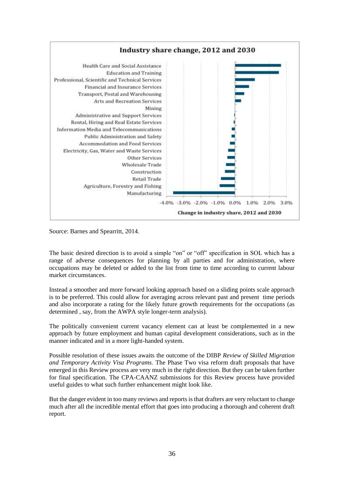

Source: Barnes and Spearritt, 2014.

The basic desired direction is to avoid a simple "on" or "off" specification in SOL which has a range of adverse consequences for planning by all parties and for administration, where occupations may be deleted or added to the list from time to time according to current labour market circumstances.

Instead a smoother and more forward looking approach based on a sliding points scale approach is to be preferred. This could allow for averaging across relevant past and present time periods and also incorporate a rating for the likely future growth requirements for the occupations (as determined , say, from the AWPA style longer-term analysis).

The politically convenient current vacancy element can at least be complemented in a new approach by future employment and human capital development considerations, such as in the manner indicated and in a more light-handed system.

Possible resolution of these issues awaits the outcome of the DIBP *Review of Skilled Migration and Temporary Activity Visa Programs.* The Phase Two visa reform draft proposals that have emerged in this Review process are very much in the right direction. But they can be taken further for final specification. The CPA-CAANZ submissions for this Review process have provided useful guides to what such further enhancement might look like.

But the danger evident in too many reviews and reports is that drafters are very reluctant to change much after all the incredible mental effort that goes into producing a thorough and coherent draft report.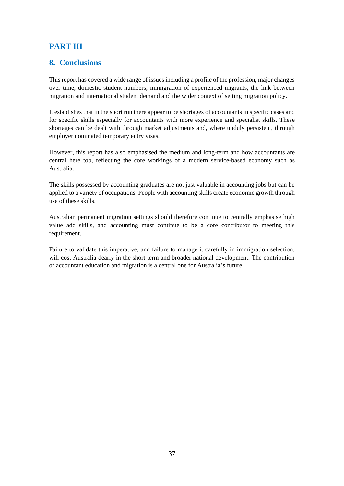# **PART III**

## **8. Conclusions**

This report has covered a wide range of issues including a profile of the profession, major changes over time, domestic student numbers, immigration of experienced migrants, the link between migration and international student demand and the wider context of setting migration policy.

It establishes that in the short run there appear to be shortages of accountants in specific cases and for specific skills especially for accountants with more experience and specialist skills. These shortages can be dealt with through market adjustments and, where unduly persistent, through employer nominated temporary entry visas.

However, this report has also emphasised the medium and long-term and how accountants are central here too, reflecting the core workings of a modern service-based economy such as Australia.

The skills possessed by accounting graduates are not just valuable in accounting jobs but can be applied to a variety of occupations. People with accounting skills create economic growth through use of these skills.

Australian permanent migration settings should therefore continue to centrally emphasise high value add skills, and accounting must continue to be a core contributor to meeting this requirement.

Failure to validate this imperative, and failure to manage it carefully in immigration selection, will cost Australia dearly in the short term and broader national development. The contribution of accountant education and migration is a central one for Australia's future.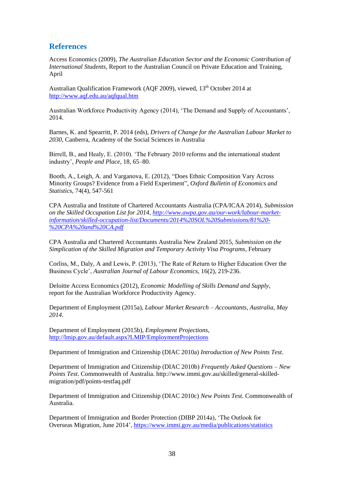## **References**

Access Economics (2009), *The Australian Education Sector and the Economic Contribution of International Students*, Report to the Australian Council on Private Education and Training, April

Australian Qualification Framework (AQF 2009), viewed, 13<sup>th</sup> October 2014 at <http://www.aqf.edu.au/aqfqual.htm>

Australian Workforce Productivity Agency (2014), 'The Demand and Supply of Accountants', 2014.

Barnes, K. and Spearritt, P. 2014 (eds), *Drivers of Change for the Australian Labour Market to 2030,* Canberra, Academy of the Social Sciences in Australia

Birrell, B., and Healy, E. (2010). 'The February 2010 reforms and the international student industry', *People and Place*, 18, 65–80.

Booth, A., Leigh, A. and Varganova, E. (2012), "Does Ethnic Composition Vary Across Minority Groups? Evidence from a Field Experiment", *Oxford Bulletin of Economics and Statistic*s, 74(4), 547-561

CPA Australia and Institute of Chartered Accountants Australia (CPA/ICAA 2014), *Submission on the Skilled Occupation List for 2014, [http://www.awpa.gov.au/our-work/labour-market](http://www.awpa.gov.au/our-work/labour-market-information/skilled-occupation-list/Documents/2014%20SOL%20Submissions/81%20-%20CPA%20and%20CA.pdf)[information/skilled-occupation-list/Documents/2014%20SOL%20Submissions/81%20-](http://www.awpa.gov.au/our-work/labour-market-information/skilled-occupation-list/Documents/2014%20SOL%20Submissions/81%20-%20CPA%20and%20CA.pdf) [%20CPA%20and%20CA.pdf](http://www.awpa.gov.au/our-work/labour-market-information/skilled-occupation-list/Documents/2014%20SOL%20Submissions/81%20-%20CPA%20and%20CA.pdf)*

CPA Australia and Chartered Accountants Australia New Zealand 2015, *Submission on the Simplication of the Skilled Migration and Temporary Activity Visa Programs*, February

Corliss, M., Daly, A and Lewis, P. (2013), 'The Rate of Return to Higher Education Over the Business Cycle', *Australian Journal of Labour Economics*, 16(2), 219-236.

Deloitte Access Economics (2012), *Economic Modelling of Skills Demand and Supply*, report for the Australian Workforce Productivity Agency.

Department of Employment (2015a), *Labour Market Research – Accountants, Australia, May 2014*.

Department of Employment (2015b), *Employment Projections*, <http://lmip.gov.au/default.aspx?LMIP/EmploymentProjections>

Department of Immigration and Citizenship (DIAC 2010a) *Introduction of New Points Test*.

Department of Immigration and Citizenship (DIAC 2010b) *Frequently Asked Questions – New Points Test*. Commonwealth of Australia. http://www.immi.gov.au/skilled/general-skilledmigration/pdf/points-testfaq.pdf

Department of Immigration and Citizenship (DIAC 2010c) *New Points Test*. Commonwealth of Australia.

Department of Immigration and Border Protection (DIBP 2014a), 'The Outlook for Overseas Migration, June 2014'[, https://www.immi.gov.au/media/publications/statistics](https://www.immi.gov.au/media/publications/statistics)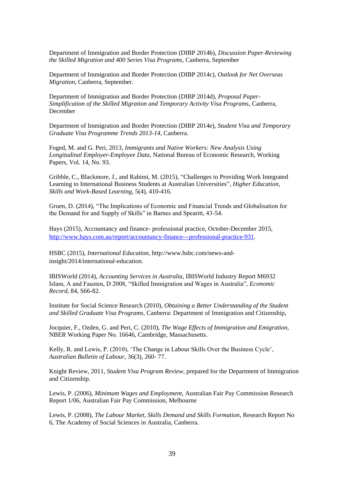Department of Immigration and Border Protection (DIBP 2014b), *Discussion Paper-Reviewing the Skilled Migration and 400 Series Visa Programs,* Canberra, September

Department of Immigration and Border Protection (DIBP 2014c), *Outlook for Net Overseas Migration*, Canberra, September.

Department of Immigration and Border Protection (DIBP 2014d), *Proposal Paper-Simplification of the Skilled Migration and Temporary Activity Visa Programs,* Canberra, December

Department of Immigration and Border Protection (DIBP 2014e), *Student Visa and Temporary Graduate Visa Programme Trends 2013-14*, Canberra.

Foged, M. and G. Peri, 2013*, Immigrants and Native Workers: New Analysis Using Longitudinal Employer-Employee Data*, National Bureau of Economic Research, Working Papers, Vol. 14, No. 93.

Gribble, C., Blackmore, J., and Rahimi, M. (2015), "Challenges to Providing Work Integrated Learning to International Business Students at Australian Universities", *Higher Education, Skills and Work-Based Learning*, 5(4), 410-416.

Gruen, D. (2014), "The Implications of Economic and Financial Trends and Globalisation for the Demand for and Supply of Skills" in Barnes and Spearitt, 43-54.

Hays (2015), Accountancy and finance- professional practice, October-December 2015, [http://www.hays.com.au/report/accountancy-finance---professional-practice-931.](http://www.hays.com.au/report/accountancy-finance---professional-practice-931)

HSBC (2015), *International Education*, http://www.hsbc.com/news-andinsight/2014/international-education.

IBISWorld (2014), *Accounting Services in Australia*, IBISWorld Industry Report M6932 Islam, A and Fausten, D 2008, "Skilled Immigration and Wages in Australia", *Economic Record*, 84, S66-82.

Institute for Social Science Research (2010), *Obtaining a Better Understanding of the Student and Skilled Graduate Visa Programs*, Canberra: Department of Immigration and Citizenship,

Jocquier, F., Ozden, G. and Peri, C. (2010), *The Wage Effects of Immigration and Emigration,* NBER Working Paper No. 16646, Cambridge, Massachusetts.

Kelly, R. and Lewis, P. (2010), 'The Change in Labour Skills Over the Business Cycle', *Australian Bulletin of Labour*, 36(3), 260- 77.

Knight Review, 2011, *Student Visa Program Review*, prepared for the Department of Immigration and Citizenship.

Lewis, P. (2006), *Minimum Wages and Employment*, Australian Fair Pay Commission Research Report 1/06, Australian Fair Pay Commission, Melbourne

Lewis, P. (2008), *The Labour Market, Skills Demand and Skills Formation*, Research Report No 6, The Academy of Social Sciences in Australia, Canberra.